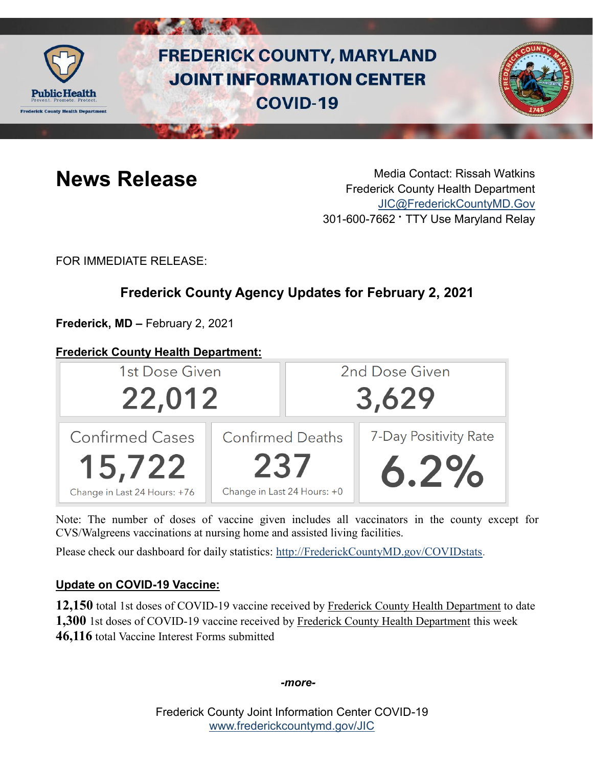

# **FREDERICK COUNTY, MARYLAND JOINT INFORMATION CENTER COVID-19**



**News Release** Media Contact: Rissah Watkins Frederick County Health Department [JIC@FrederickCountyMD.Gov](mailto:JIC@FrederickCountyMD.Gov) 301-600-7662 • TTY Use Maryland Relay

FOR IMMEDIATE RELEASE:

## **Frederick County Agency Updates for February 2, 2021**

**Frederick, MD –** February 2, 2021

### **Frederick County Health Department:**

| 1st Dose Given                                                   |     | 2nd Dose Given                                         |                               |
|------------------------------------------------------------------|-----|--------------------------------------------------------|-------------------------------|
| 22,012                                                           |     | 3,629                                                  |                               |
| <b>Confirmed Cases</b><br>15,722<br>Change in Last 24 Hours: +76 | 237 | <b>Confirmed Deaths</b><br>Change in Last 24 Hours: +0 | 7-Day Positivity Rate<br>6.2% |

Note: The number of doses of vaccine given includes all vaccinators in the county except for CVS/Walgreens vaccinations at nursing home and assisted living facilities.

Please check our dashboard for daily statistics: [http://FrederickCountyMD.gov/COVIDstats.](http://frederickcountymd.gov/COVIDstats)

#### **Update on COVID-19 Vaccine:**

**12,150** total 1st doses of COVID-19 vaccine received by Frederick County Health Department to date **1,300** 1st doses of COVID-19 vaccine received by Frederick County Health Department this week **46,116** total Vaccine Interest Forms submitted

*-more-*

Frederick County Joint Information Center COVID-19 [www.frederickcountymd.gov/JIC](https://frederickcountymd.gov/JIC)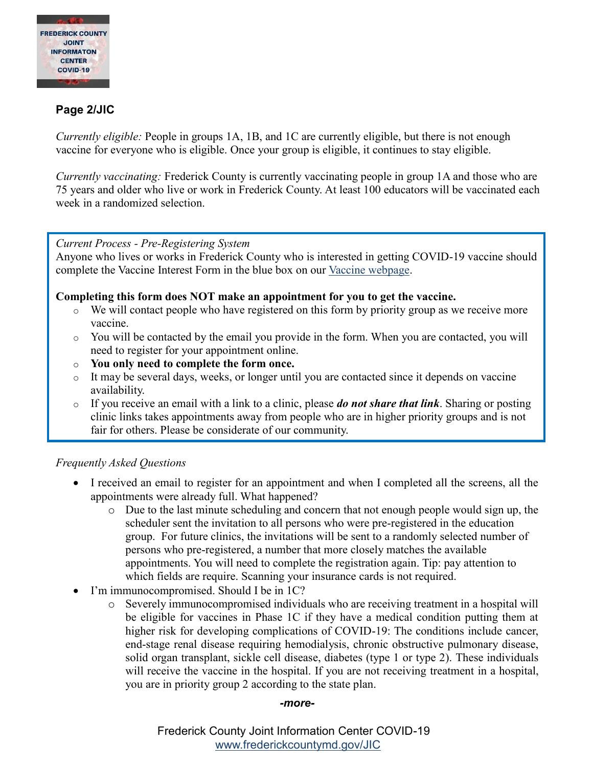

#### **Page 2/JIC**

*Currently eligible:* People in groups 1A, 1B, and 1C are currently eligible, but there is not enough vaccine for everyone who is eligible. Once your group is eligible, it continues to stay eligible.

*Currently vaccinating:* Frederick County is currently vaccinating people in group 1A and those who are 75 years and older who live or work in Frederick County. At least 100 educators will be vaccinated each week in a randomized selection.

#### *Current Process - Pre-Registering System*

Anyone who lives or works in Frederick County who is interested in getting COVID-19 vaccine should complete the Vaccine Interest Form in the blue box on our [Vaccine webpage.](https://health.frederickcountymd.gov/629/COVID-19-Vaccine)

#### **Completing this form does NOT make an appointment for you to get the vaccine.**

- $\circ$  We will contact people who have registered on this form by priority group as we receive more vaccine.
- o You will be contacted by the email you provide in the form. When you are contacted, you will need to register for your appointment online.
- o **You only need to complete the form once.**
- o It may be several days, weeks, or longer until you are contacted since it depends on vaccine availability.
- o If you receive an email with a link to a clinic, please *do not share that link*. Sharing or posting clinic links takes appointments away from people who are in higher priority groups and is not fair for others. Please be considerate of our community.

#### *Frequently Asked Questions*

- I received an email to register for an appointment and when I completed all the screens, all the appointments were already full. What happened?
	- o Due to the last minute scheduling and concern that not enough people would sign up, the scheduler sent the invitation to all persons who were pre-registered in the education group. For future clinics, the invitations will be sent to a randomly selected number of persons who pre-registered, a number that more closely matches the available appointments. You will need to complete the registration again. Tip: pay attention to which fields are require. Scanning your insurance cards is not required.
- I'm immunocompromised. Should I be in 1C?
	- o Severely immunocompromised individuals who are receiving treatment in a hospital will be eligible for vaccines in Phase 1C if they have a medical condition putting them at higher risk for developing complications of COVID-19: The conditions include cancer, end-stage renal disease requiring hemodialysis, chronic obstructive pulmonary disease, solid organ transplant, sickle cell disease, diabetes (type 1 or type 2). These individuals will receive the vaccine in the hospital. If you are not receiving treatment in a hospital, you are in priority group 2 according to the state plan.

#### *-more-*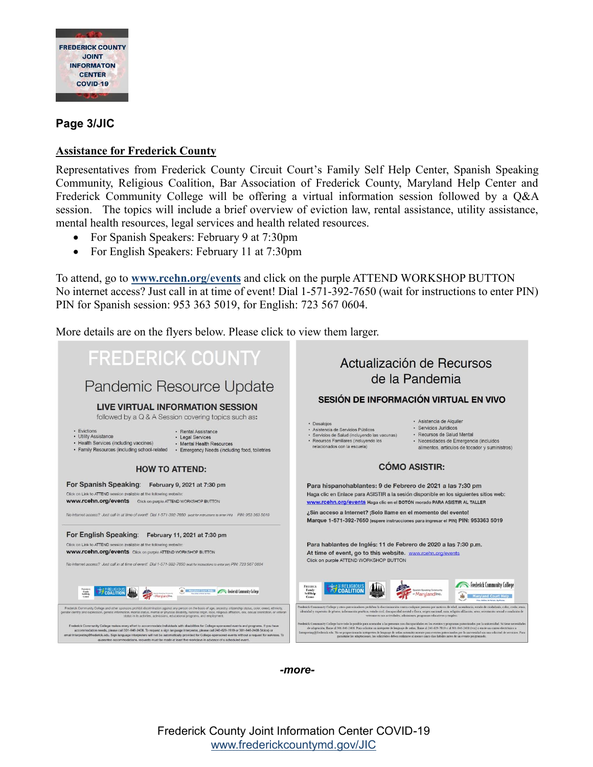

#### **Page 3/JIC**

#### **Assistance for Frederick County**

Representatives from Frederick County Circuit Court's Family Self Help Center, Spanish Speaking Community, Religious Coalition, Bar Association of Frederick County, Maryland Help Center and Frederick Community College will be offering a virtual information session followed by a Q&A session. The topics will include a brief overview of eviction law, rental assistance, utility assistance, mental health resources, legal services and health related resources.

- For Spanish Speakers: February 9 at 7:30pm
- For English Speakers: February 11 at 7:30pm

To attend, go to **[www.rcehn.org/events](http://www.rcehn.org/events)** and click on the purple ATTEND WORKSHOP BUTTON No internet access? Just call in at time of event! Dial 1-571-392-7650 (wait for instructions to enter PIN) PIN for Spanish session: 953 363 5019, for English: 723 567 0604.

More details are on the flyers below. Please click to view them larger.

| <b>FREDERICK COUNTY</b><br>Pandemic Resource Update<br>LIVE VIRTUAL INFORMATION SESSION<br>followed by a Q & A Session covering topics such as:<br>• Evictions<br>• Rental Assistance<br>• Utility Assistance<br>• Legal Services<br>• Health Services (including vaccines)<br>• Mental Health Resources<br>· Family Resources (including school-related<br>• Emergency Needs (including food, toiletries                                                                                                                                                                                                                                                                                                                                                                                                                                                                                                                                                                                                                     | Actualización de Recursos<br>de la Pandemia<br>SESIÓN DE INFORMACIÓN VIRTUAL EN VIVO<br>· Asistencia de Alquiler<br>· Desaloios<br>· Servicios Jurídicos<br>· Asistencia de Servicios Públicos<br>· Recursos de Salud Mental<br>· Servicios de Salud (incluvendo las vacunas)<br>· Recursos Familiares (incluyendo los<br>· Necesidades de Emergencia (incluidos<br>relacionados con la escuela)<br>alimentos, artículos de tocador y suministros)                                                                                                                                                                                                                                                                                                                                                                                                                                                                                                                                                                                                                                                                                        |  |
|-------------------------------------------------------------------------------------------------------------------------------------------------------------------------------------------------------------------------------------------------------------------------------------------------------------------------------------------------------------------------------------------------------------------------------------------------------------------------------------------------------------------------------------------------------------------------------------------------------------------------------------------------------------------------------------------------------------------------------------------------------------------------------------------------------------------------------------------------------------------------------------------------------------------------------------------------------------------------------------------------------------------------------|-------------------------------------------------------------------------------------------------------------------------------------------------------------------------------------------------------------------------------------------------------------------------------------------------------------------------------------------------------------------------------------------------------------------------------------------------------------------------------------------------------------------------------------------------------------------------------------------------------------------------------------------------------------------------------------------------------------------------------------------------------------------------------------------------------------------------------------------------------------------------------------------------------------------------------------------------------------------------------------------------------------------------------------------------------------------------------------------------------------------------------------------|--|
| <b>HOW TO ATTEND:</b>                                                                                                                                                                                                                                                                                                                                                                                                                                                                                                                                                                                                                                                                                                                                                                                                                                                                                                                                                                                                         | <b>CÓMO ASISTIR:</b>                                                                                                                                                                                                                                                                                                                                                                                                                                                                                                                                                                                                                                                                                                                                                                                                                                                                                                                                                                                                                                                                                                                      |  |
| For Spanish Speaking: February 9, 2021 at 7:30 pm<br>Click on Link to ATTEND session available at the following website:<br><b>www.rcehn.org/events</b> Click on purple ATTEND WORKSHOP BUTTON<br>No internet access? Just call-in at time of event! Dial 1-571-392-7650 (wat for instructions to enter PIN! PIN: 953 363 5019                                                                                                                                                                                                                                                                                                                                                                                                                                                                                                                                                                                                                                                                                                | Para hispanohablantes: 9 de Febrero de 2021 a las 7:30 pm<br>Haga clic en Enlace para ASISTIR a la sesión disponible en los siguientes sitios web:<br>www.rcehn.org/events Haga clic en el BOTÓN morado PARA ASISTIR AL TALLER<br>¿Sin acceso a Internet? ¡Solo llame en el momento del evento!<br>Marque 1-571-392-7650 (espere instrucciones para ingresar el PIN) PIN: 953363 5019                                                                                                                                                                                                                                                                                                                                                                                                                                                                                                                                                                                                                                                                                                                                                     |  |
| For English Speaking: February 11, 2021 at 7:30 pm<br>Click on Link to ATTEND session available at the following website:<br><b>www.rcehn.org/events</b> Click on purple ATTEND WORKSHOP BUTTON<br>No internet access? Just call in at time of event! Dial 1-571-392-7650 (wait for instructions to enter pin) PIN: 723 567 0604                                                                                                                                                                                                                                                                                                                                                                                                                                                                                                                                                                                                                                                                                              | Para hablantes de Inglés: 11 de Febrero de 2020 a las 7:30 p.m.<br>At time of event, go to this website. www.rcehn.org/events<br>Click on purple ATTEND WORKSHOP BUTTON<br><b>Experience Community College</b><br><b>FREDERICK</b>                                                                                                                                                                                                                                                                                                                                                                                                                                                                                                                                                                                                                                                                                                                                                                                                                                                                                                        |  |
| the Maryland Court Mole Control Frederick Community College<br><b>N COALITION</b>                                                                                                                                                                                                                                                                                                                                                                                                                                                                                                                                                                                                                                                                                                                                                                                                                                                                                                                                             | Family<br>SelfHels<br>Center                                                                                                                                                                                                                                                                                                                                                                                                                                                                                                                                                                                                                                                                                                                                                                                                                                                                                                                                                                                                                                                                                                              |  |
| Frederick Community College and other sponsors prohibit discrimination against any person on the basis of age, ancestry, citizenship status, color, creed, ethnicity,<br>nder identity and expression, genetic information, marital status, mental or physical disability, national origin, race, religious affiliation, sex, sexual orientation, or veteran<br>status in its activities, admissions, educational programs, and employment.<br>Frederick Community College makes every effort to accommodate individuals with disabilities for College-sponsored events and programs. If you have<br>accommodation needs, please call 301-846-2408. To request a sign language interpreter, please call 240-629-7819 or 301-846-2408 (Voice) or<br>email Interpreting@frederick.edu. Sign language interpreters will not be automatically provided for College-sponsored events without a request for services. To<br>quarantee accommodations, requests must be made at least five workdays in advance of a scheduled event. | Frederick Community College y otros patrocinadores prohiben la discriminación contra cualquier persona por motivos de edad, ascendencia, estado de ciudadanía, color, credo, etina<br>identidad y expresión de género, información genética, estado civil, discapacidad mental o física, origen nacional, raza, religión afiliación, sexo, orientación sexual o condición de<br>veterano en sus actividades, admisiones, programas educativos y empleo.<br>Frederick Community College hace todo lo posible para acomodar a las personas con discapacidades en los eventos y programas patrocinados por la universidad. Si tiene necesidades<br>de adaptación, llame al 301-846-2408. Para solicitar un intérprete de lenguaje de señas, llame al 240-629-7819 o al 301-846-2408 (voz) o envie un correo electrónico a<br>Interpreting@frederick.edu. No se proporcionarán intérpretes de lenguaje de señas automáticamente para eventos patrocinados por la universidad sin una solicitud de servicios. Para<br>garantizar las adaptaciones, las solicitudes deben realizarse al menos cinco días hábiles antes de un evento programado. |  |

*-more-*